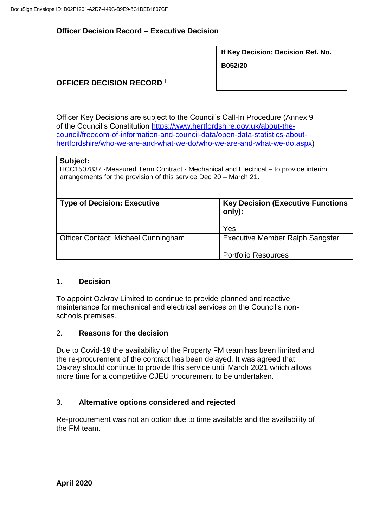## **Officer Decision Record – Executive Decision**

**If Key Decision: Decision Ref. No.**

**B052/20**

# **OFFICER DECISION RECORD <sup>i</sup>**

Officer Key Decisions are subject to the Council's Call-In Procedure (Annex 9 of the Council's Constitution [https://www.hertfordshire.gov.uk/about-the](https://www.hertfordshire.gov.uk/about-the-council/freedom-of-information-and-council-data/open-data-statistics-about-hertfordshire/who-we-are-and-what-we-do/who-we-are-and-what-we-do.aspx)[council/freedom-of-information-and-council-data/open-data-statistics-about](https://www.hertfordshire.gov.uk/about-the-council/freedom-of-information-and-council-data/open-data-statistics-about-hertfordshire/who-we-are-and-what-we-do/who-we-are-and-what-we-do.aspx)[hertfordshire/who-we-are-and-what-we-do/who-we-are-and-what-we-do.aspx\)](https://www.hertfordshire.gov.uk/about-the-council/freedom-of-information-and-council-data/open-data-statistics-about-hertfordshire/who-we-are-and-what-we-do/who-we-are-and-what-we-do.aspx)

#### **Subject:**

HCC1507837 -Measured Term Contract - Mechanical and Electrical – to provide interim arrangements for the provision of this service Dec 20 – March 21.

| <b>Type of Decision: Executive</b>  | <b>Key Decision (Executive Functions)</b><br>only):<br>Yes           |
|-------------------------------------|----------------------------------------------------------------------|
| Officer Contact: Michael Cunningham | <b>Executive Member Ralph Sangster</b><br><b>Portfolio Resources</b> |

### 1. **Decision**

To appoint Oakray Limited to continue to provide planned and reactive maintenance for mechanical and electrical services on the Council's nonschools premises.

### 2. **Reasons for the decision**

Due to Covid-19 the availability of the Property FM team has been limited and the re-procurement of the contract has been delayed. It was agreed that Oakray should continue to provide this service until March 2021 which allows more time for a competitive OJEU procurement to be undertaken.

### 3. **Alternative options considered and rejected**

Re-procurement was not an option due to time available and the availability of the FM team.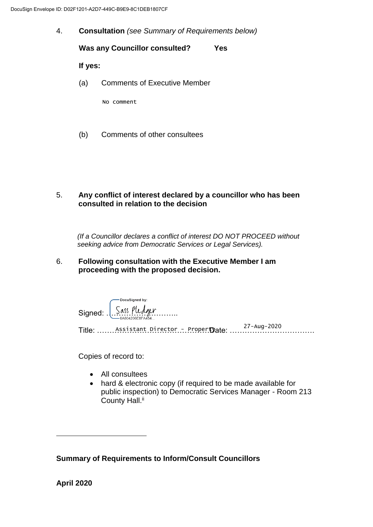4. **Consultation** *(see Summary of Requirements below)*

**Was any Councillor consulted? Yes If yes:** (a) Comments of Executive Member No comment

(b) Comments of other consultees

### 5. **Any conflict of interest declared by a councillor who has been consulted in relation to the decision**

 *(If a Councillor declares a conflict of interest DO NOT PROCEED without seeking advice from Democratic Services or Legal Services).* 

### 6. **Following consultation with the Executive Member I am proceeding with the proposed decision.**

| Signed: $\int_{\frac{6A804206E8FAA54}{6A804206E8FAA54}}^{\text{Docussigned by:}}$ |  |
|-----------------------------------------------------------------------------------|--|
| Title: Assistant Director - PropertDate:                                          |  |
|                                                                                   |  |

Copies of record to:

- All consultees
- hard & electronic copy (if required to be made available for public inspection) to Democratic Services Manager - Room 213 County Hall.<sup>ii</sup>

**Summary of Requirements to Inform/Consult Councillors**

**April 2020**

 $\overline{a}$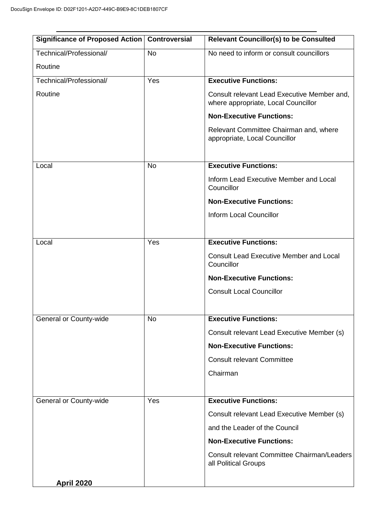| Significance of Proposed Action   Controversial |           | <b>Relevant Councillor(s) to be Consulted</b>                                      |
|-------------------------------------------------|-----------|------------------------------------------------------------------------------------|
| Technical/Professional/                         | <b>No</b> | No need to inform or consult councillors                                           |
| Routine                                         |           |                                                                                    |
| Technical/Professional/                         | Yes       | <b>Executive Functions:</b>                                                        |
| Routine                                         |           | Consult relevant Lead Executive Member and,<br>where appropriate, Local Councillor |
|                                                 |           | <b>Non-Executive Functions:</b>                                                    |
|                                                 |           | Relevant Committee Chairman and, where<br>appropriate, Local Councillor            |
| Local                                           | <b>No</b> | <b>Executive Functions:</b>                                                        |
|                                                 |           | Inform Lead Executive Member and Local<br>Councillor                               |
|                                                 |           | <b>Non-Executive Functions:</b>                                                    |
|                                                 |           | <b>Inform Local Councillor</b>                                                     |
|                                                 |           |                                                                                    |
| Local                                           | Yes       | <b>Executive Functions:</b>                                                        |
|                                                 |           | <b>Consult Lead Executive Member and Local</b><br>Councillor                       |
|                                                 |           | <b>Non-Executive Functions:</b>                                                    |
|                                                 |           | <b>Consult Local Councillor</b>                                                    |
|                                                 |           |                                                                                    |
| <b>General or County-wide</b>                   | <b>No</b> | <b>Executive Functions:</b>                                                        |
|                                                 |           | Consult relevant Lead Executive Member (s)                                         |
|                                                 |           | <b>Non-Executive Functions:</b>                                                    |
|                                                 |           | <b>Consult relevant Committee</b>                                                  |
|                                                 |           | Chairman                                                                           |
|                                                 |           |                                                                                    |
| General or County-wide                          | Yes       | <b>Executive Functions:</b>                                                        |
|                                                 |           | Consult relevant Lead Executive Member (s)                                         |
|                                                 |           | and the Leader of the Council                                                      |
|                                                 |           | <b>Non-Executive Functions:</b>                                                    |
|                                                 |           | <b>Consult relevant Committee Chairman/Leaders</b><br>all Political Groups         |
| <b>April 2020</b>                               |           |                                                                                    |